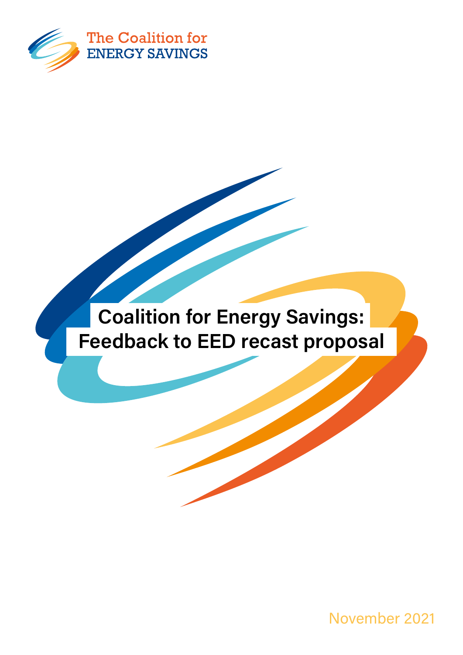

## Coalition for Energy Savings: Feedback to EED recast proposal

November 2021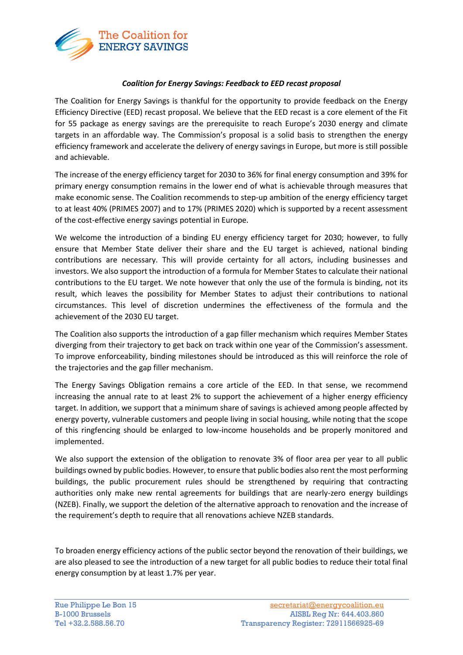

## *Coalition for Energy Savings: Feedback to EED recast proposal*

The Coalition for Energy Savings is thankful for the opportunity to provide feedback on the Energy Efficiency Directive (EED) recast proposal. We believe that the EED recast is a core element of the Fit for 55 package as energy savings are the prerequisite to reach Europe's 2030 energy and climate targets in an affordable way. The Commission's proposal is a solid basis to strengthen the energy efficiency framework and accelerate the delivery of energy savings in Europe, but more is still possible and achievable.

The increase of the energy efficiency target for 2030 to 36% for final energy consumption and 39% for primary energy consumption remains in the lower end of what is achievable through measures that make economic sense. The Coalition recommends to step-up ambition of the energy efficiency target to at least 40% (PRIMES 2007) and to 17% (PRIMES 2020) which is supported by a recent assessment of the cost-effective energy savings potential in Europe.

We welcome the introduction of a binding EU energy efficiency target for 2030; however, to fully ensure that Member State deliver their share and the EU target is achieved, national binding contributions are necessary. This will provide certainty for all actors, including businesses and investors. We also support the introduction of a formula for Member States to calculate their national contributions to the EU target. We note however that only the use of the formula is binding, not its result, which leaves the possibility for Member States to adjust their contributions to national circumstances. This level of discretion undermines the effectiveness of the formula and the achievement of the 2030 EU target.

The Coalition also supports the introduction of a gap filler mechanism which requires Member States diverging from their trajectory to get back on track within one year of the Commission's assessment. To improve enforceability, binding milestones should be introduced as this will reinforce the role of the trajectories and the gap filler mechanism.

The Energy Savings Obligation remains a core article of the EED. In that sense, we recommend increasing the annual rate to at least 2% to support the achievement of a higher energy efficiency target. In addition, we support that a minimum share of savings is achieved among people affected by energy poverty, vulnerable customers and people living in social housing, while noting that the scope of this ringfencing should be enlarged to low-income households and be properly monitored and implemented.

We also support the extension of the obligation to renovate 3% of floor area per year to all public buildings owned by public bodies. However, to ensure that public bodies also rent the most performing buildings, the public procurement rules should be strengthened by requiring that contracting authorities only make new rental agreements for buildings that are nearly-zero energy buildings (NZEB). Finally, we support the deletion of the alternative approach to renovation and the increase of the requirement's depth to require that all renovations achieve NZEB standards.

To broaden energy efficiency actions of the public sector beyond the renovation of their buildings, we are also pleased to see the introduction of a new target for all public bodies to reduce their total final energy consumption by at least 1.7% per year.